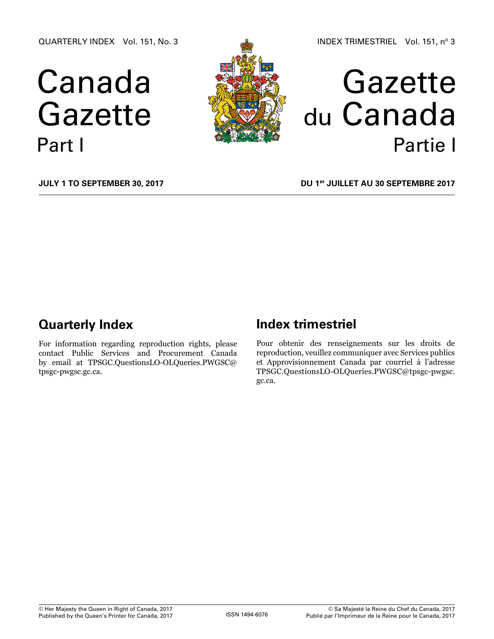QUARTERLY INDEX Vol. 151, No. 3

# Canada Gazette Part I





**July 1 to September 30, 2017**

**DU 1er juillet au 30 septembre 2017**

### **Quarterly Index**

For information regarding reproduction rights, please contact Public Services and Procurement Canada by email at TPSGC.QuestionsLO-OLQuer[ies.PWGSC@](mailto:droitdauteur.copyright%40tpsgc-pwgsc.gc.ca?subject=) [tpsgc-pwgsc.gc.ca.](mailto:droitdauteur.copyright%40tpsgc-pwgsc.gc.ca?subject=)

### **Index trimestriel**

Pour obtenir des renseignements sur les droits de reproduction, veuillez communiquer avec Services publics et Approvisionnement Canada par courriel à l'adresse TPSGC.QuestionsLO-OLQuerie[s.PWGSC@tpsgc-pwgsc.](mailto:droitdauteur.copyright%40tpsgc-pwgsc.gc.ca?subject=) [gc.ca.](mailto:droitdauteur.copyright%40tpsgc-pwgsc.gc.ca?subject=)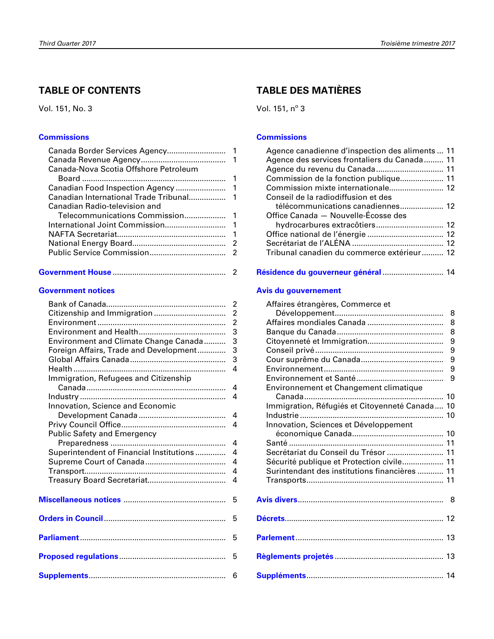### **table oF CoNteNts**

Vol. 151, No. 3

### **[Commissions](#page-2-0)**

| Canada-Nova Scotia Offshore Petroleum |  |
|---------------------------------------|--|
|                                       |  |
|                                       |  |
|                                       |  |
| Canadian Radio-television and         |  |
|                                       |  |
|                                       |  |
|                                       |  |
|                                       |  |
|                                       |  |
|                                       |  |

|--|--|

### **[Government notices](#page-3-0)**

|                                                                         | 2<br>$\overline{c}$ |
|-------------------------------------------------------------------------|---------------------|
|                                                                         | $\overline{2}$      |
|                                                                         | 3                   |
| Environment and Climate Change Canada                                   | 3                   |
| Foreign Affairs, Trade and Development                                  | 3                   |
|                                                                         | 3                   |
|                                                                         | 4                   |
| Immigration, Refugees and Citizenship                                   |                     |
|                                                                         | 4                   |
|                                                                         | 4                   |
| Innovation, Science and Economic                                        |                     |
|                                                                         | 4                   |
|                                                                         | 4                   |
| Public Safety and Emergency                                             |                     |
|                                                                         | 4                   |
| Superintendent of Financial Institutions                                | 4                   |
|                                                                         | 4<br>4              |
|                                                                         | 4                   |
|                                                                         |                     |
| Miscellaneous notices <b>Mission Contract Contract Contract Control</b> | 5                   |
|                                                                         | 5                   |
|                                                                         | 5                   |
|                                                                         | 5                   |
|                                                                         | 6                   |

### **table Des matIÈres**

Vol. 151,  $n^{\circ}$  3

### **[Commissions](#page-12-0)**

| Agence canadienne d'inspection des aliments  11 |  |
|-------------------------------------------------|--|
| Agence des services frontaliers du Canada  11   |  |
|                                                 |  |
| Commission de la fonction publique 11           |  |
| Commission mixte internationale 12              |  |
| Conseil de la radiodiffusion et des             |  |
| télécommunications canadiennes 12               |  |
| Office Canada - Nouvelle-Écosse des             |  |
| hydrocarbures extracôtiers 12                   |  |
|                                                 |  |
|                                                 |  |
| Tribunal canadien du commerce extérieur 12      |  |
|                                                 |  |

|  |  | Résidence du gouverneur général  14 |  |
|--|--|-------------------------------------|--|
|--|--|-------------------------------------|--|

### **[avis du gouvernement](#page-9-0)**

| Affaires étrangères, Commerce et<br>Environnement et Changement climatique<br>Immigration, Réfugiés et Citoyenneté Canada 10<br>Innovation, Sciences et Développement<br>Secrétariat du Conseil du Trésor  11<br>Sécurité publique et Protection civile 11 | 8<br>8<br>8<br>9<br>9<br>9<br>9<br>9<br>10 |
|------------------------------------------------------------------------------------------------------------------------------------------------------------------------------------------------------------------------------------------------------------|--------------------------------------------|
| Surintendant des institutions financières  11                                                                                                                                                                                                              |                                            |
|                                                                                                                                                                                                                                                            |                                            |
|                                                                                                                                                                                                                                                            |                                            |
|                                                                                                                                                                                                                                                            |                                            |
|                                                                                                                                                                                                                                                            |                                            |
|                                                                                                                                                                                                                                                            |                                            |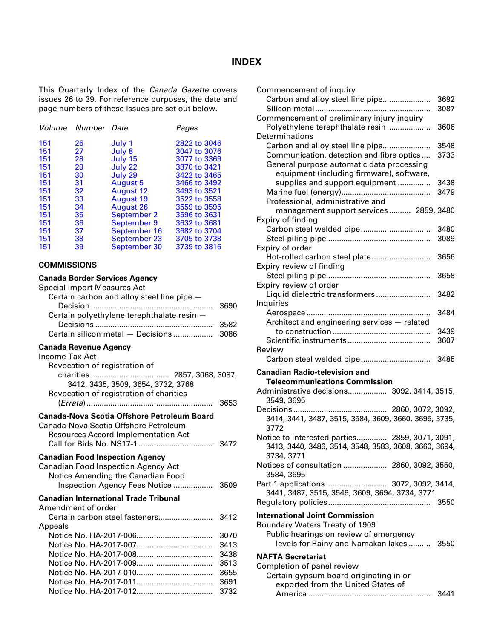### **INDEX**

<span id="page-2-0"></span>This Quarterly Index of the *Canada Gazette* covers issues 26 to 39. For reference purposes, the date and page numbers of these issues are set out below.

|     | Volume Number Date |                  | Pages        |
|-----|--------------------|------------------|--------------|
| 151 | 26                 | July 1           | 2822 to 3046 |
| 151 | 27                 | July 8           | 3047 to 3076 |
| 151 | 28                 | July 15          | 3077 to 3369 |
| 151 | 29                 | July 22          | 3370 to 3421 |
| 151 | 30                 | July 29          | 3422 to 3465 |
| 151 | 31                 | August 5         | 3466 to 3492 |
| 151 | 32                 | <b>August 12</b> | 3493 to 3521 |
| 151 | 33                 | <b>August 19</b> | 3522 to 3558 |
| 151 | 34                 | <b>August 26</b> | 3559 to 3595 |
| 151 | 35                 | September 2      | 3596 to 3631 |
| 151 | 36                 | September 9      | 3632 to 3681 |
| 151 | 37                 | September 16     | 3682 to 3704 |
| 151 | 38                 | September 23     | 3705 to 3738 |
| 151 | 39                 | September 30     | 3739 to 3816 |

### **COMMISSIONS**

### **Canada Border Services Agency**

| Special Import Measures Act                                                                                                        |              |
|------------------------------------------------------------------------------------------------------------------------------------|--------------|
| Certain carbon and alloy steel line pipe -                                                                                         |              |
| Certain polyethylene terephthalate resin -                                                                                         | 3690         |
|                                                                                                                                    | 3582         |
| Certain silicon metal - Decisions                                                                                                  | 3086         |
| <b>Canada Revenue Agency</b><br>Income Tax Act                                                                                     |              |
| Revocation of registration of                                                                                                      |              |
|                                                                                                                                    |              |
| 3412, 3435, 3509, 3654, 3732, 3768                                                                                                 |              |
| Revocation of registration of charities                                                                                            |              |
|                                                                                                                                    | 3653         |
| Canada-Nova Scotia Offshore Petroleum Board<br>Canada-Nova Scotia Offshore Petroleum<br><b>Resources Accord Implementation Act</b> | 3472         |
| <b>Canadian Food Inspection Agency</b><br><b>Canadian Food Inspection Agency Act</b><br>Notice Amending the Canadian Food          | 3509         |
| Inspection Agency Fees Notice                                                                                                      |              |
| <b>Canadian International Trade Tribunal</b><br>Amendment of order                                                                 |              |
| Certain carbon steel fasteners                                                                                                     | 3412         |
| Appeals                                                                                                                            |              |
|                                                                                                                                    | 3070         |
|                                                                                                                                    | 3413         |
|                                                                                                                                    | 3438<br>3513 |
|                                                                                                                                    | 3655         |
|                                                                                                                                    | 3691         |
|                                                                                                                                    | 3732         |
|                                                                                                                                    |              |

| Commencement of inquiry                                  |      |
|----------------------------------------------------------|------|
| Carbon and alloy steel line pipe                         | 3692 |
|                                                          | 3087 |
| Commencement of preliminary injury inquiry               |      |
| Polyethylene terephthalate resin                         | 3606 |
| Determinations                                           |      |
| Carbon and alloy steel line pipe                         | 3548 |
| Communication, detection and fibre optics                | 3733 |
| General purpose automatic data processing                |      |
| equipment (including firmware), software,                |      |
| supplies and support equipment                           | 3438 |
|                                                          | 3479 |
| Professional, administrative and                         |      |
| management support services 2859, 3480                   |      |
| Expiry of finding                                        |      |
| Carbon steel welded pipe                                 | 3480 |
|                                                          | 3089 |
| Expiry of order                                          |      |
| Hot-rolled carbon steel plate                            | 3656 |
| Expiry review of finding                                 |      |
|                                                          | 3658 |
| Expiry review of order                                   |      |
| Liquid dielectric transformers                           | 3482 |
| Inquiries                                                |      |
|                                                          | 3484 |
| Architect and engineering services - related             |      |
|                                                          | 3439 |
|                                                          | 3607 |
| Review                                                   |      |
|                                                          | 3485 |
|                                                          |      |
| <b>Canadian Radio-television and</b>                     |      |
| <b>Telecommunications Commission</b>                     |      |
| Administrative decisions 3092, 3414, 3515,<br>3549, 3695 |      |
|                                                          |      |
| 3414, 3441, 3487, 3515, 3584, 3609, 3660, 3695, 3735,    |      |
| 3772                                                     |      |
| Notice to interested parties 2859, 3071, 3091,           |      |
| 3413, 3440, 3486, 3514, 3548, 3583, 3608, 3660, 3694,    |      |
| 3734, 3771                                               |      |
| Notices of consultation  2860, 3092, 3550,               |      |
| 3584, 3695                                               |      |
| Part 1 applications  3072, 3092, 3414,                   |      |
| 3441, 3487, 3515, 3549, 3609, 3694, 3734, 3771           |      |
|                                                          | 3550 |
|                                                          |      |
| <b>International Joint Commission</b>                    |      |
| Boundary Waters Treaty of 1909                           |      |
| Public hearings on review of emergency                   |      |
| levels for Rainy and Namakan lakes 3550                  |      |
| <b>NAFTA Secretariat</b>                                 |      |
| Completion of panel review                               |      |
| Certain gypsum board originating in or                   |      |
|                                                          |      |
| exported from the United States of                       |      |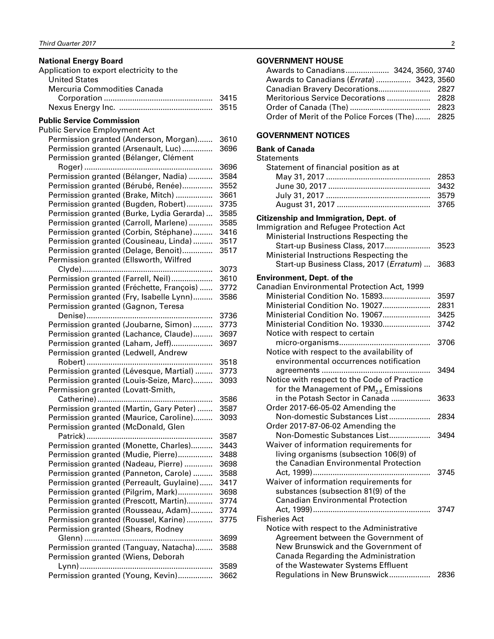### <span id="page-3-0"></span>**National Energy Board**

| 3415 |
|------|
| 3515 |
|      |

## **Public Service Commission**

| <b>Public Service Employment Act</b>      |      |
|-------------------------------------------|------|
| Permission granted (Anderson, Morgan)     | 3610 |
| Permission granted (Arsenault, Luc)       | 3696 |
| Permission granted (Bélanger, Clément     |      |
|                                           | 3696 |
| Permission granted (Bélanger, Nadia)      | 3584 |
| Permission granted (Bérubé, Renée)        | 3552 |
| Permission granted (Brake, Mitch)         | 3661 |
| Permission granted (Bugden, Robert)       | 3735 |
| Permission granted (Burke, Lydia Gerarda) | 3585 |
| Permission granted (Carroll, Marlene)     | 3585 |
| Permission granted (Corbin, Stéphane)     | 3416 |
| Permission granted (Cousineau, Linda)     | 3517 |
| Permission granted (Delage, Benoit)       | 3517 |
| Permission granted (Ellsworth, Wilfred    |      |
|                                           | 3073 |
| Permission granted (Farrell, Neil)        | 3610 |
| Permission granted (Fréchette, François)  | 3772 |
| Permission granted (Fry, Isabelle Lynn)   | 3586 |
| Permission granted (Gagnon, Teresa        |      |
|                                           | 3736 |
| Permission granted (Joubarne, Simon)      | 3773 |
| Permission granted (Lachance, Claude)     | 3697 |
| Permission granted (Laham, Jeff)          | 3697 |
| Permission granted (Ledwell, Andrew       |      |
|                                           | 3518 |
| Permission granted (Lévesque, Martial)    | 3773 |
| Permission granted (Louis-Seize, Marc)    | 3093 |
| Permission granted (Lovatt-Smith,         |      |
|                                           | 3586 |
| Permission granted (Martin, Gary Peter)   | 3587 |
| Permission granted (Maurice, Caroline)    | 3093 |
| Permission granted (McDonald, Glen        |      |
|                                           | 3587 |
| Permission granted (Monette, Charles)     | 3443 |
| Permission granted (Mudie, Pierre)        | 3488 |
| Permission granted (Nadeau, Pierre)       | 3698 |
| Permission granted (Panneton, Carole)     | 3588 |
| Permission granted (Perreault, Guylaine)  | 3417 |
| Permission granted (Pilgrim, Mark)        | 3698 |
| Permission granted (Prescott, Martin)     | 3774 |
| Permission granted (Rousseau, Adam)       | 3774 |
| Permission granted (Roussel, Karine)      | 3775 |
| Permission granted (Shears, Rodney        |      |
|                                           | 3699 |
| Permission granted (Tanguay, Natacha)     | 3588 |
| Permission granted (Wiens, Deborah        |      |
|                                           | 3589 |
| Permission granted (Young, Kevin)         | 3662 |
|                                           |      |

### **GOVERNMENT HOUSE**

| Awards to Canadians ( <i>Errata</i> )  3423, 3560 |  |
|---------------------------------------------------|--|
|                                                   |  |
|                                                   |  |
|                                                   |  |
| Order of Merit of the Police Forces (The) 2825    |  |

### **GOVERNMENT NOTICES**

### **Bank of Canada**

| <b>Statements</b>                            |      |
|----------------------------------------------|------|
| Statement of financial position as at        |      |
|                                              | 2853 |
|                                              | 3432 |
|                                              | 3579 |
|                                              | 3765 |
| <b>Citizenship and Immigration, Dept. of</b> |      |
| Immigration and Refugee Protection Act       |      |
| Ministerial Instructions Respecting the      |      |
| Start-up Business Class, 2017                | 3523 |
| Ministerial Instructions Respecting the      |      |
| Start-up Business Class, 2017 (Erratum)      | 3683 |
| <b>Environment, Dept. of the</b>             |      |
| Canadian Environmental Protection Act, 1999  |      |
| Ministerial Condition No. 15893              | 3597 |
| Ministerial Condition No. 19027              | 2831 |
| Ministerial Condition No. 19067              | 3425 |
| Ministerial Condition No. 19330              | 3742 |
| Notice with respect to certain               |      |
|                                              | 3706 |
| Notice with respect to the availability of   |      |
| environmental occurrences notification       |      |
|                                              | 3494 |
| Notice with respect to the Code of Practice  |      |
| for the Management of $PM_{2.5}$ Emissions   |      |
| in the Potash Sector in Canada               | 3633 |
| Order 2017-66-05-02 Amending the             |      |
| Non-domestic Substances List                 | 2834 |
| Order 2017-87-06-02 Amending the             |      |
| Non-Domestic Substances List                 | 3494 |
| Waiver of information requirements for       |      |
| living organisms (subsection 106(9) of       |      |
| the Canadian Environmental Protection        |      |
|                                              | 3745 |
| Waiver of information requirements for       |      |
| substances (subsection 81(9) of the          |      |
| <b>Canadian Environmental Protection</b>     |      |
|                                              | 3747 |
| <b>Fisheries Act</b>                         |      |
| Notice with respect to the Administrative    |      |
| Agreement between the Government of          |      |
| New Brunswick and the Government of          |      |
| Canada Regarding the Administration          |      |
| of the Wastewater Systems Effluent           |      |
| Regulations in New Brunswick                 | 2836 |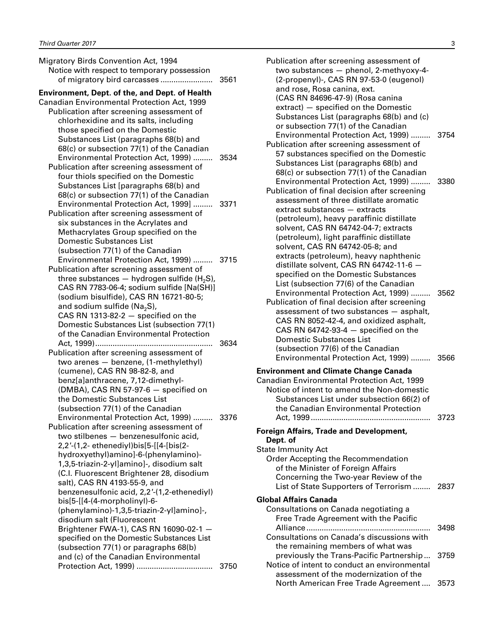| Migratory Birds Convention Act, 1994<br>Notice with respect to temporary possession                                                                                                                                                                                                                                                                                                                                                                                                                                                                                                                                                                                                                            | 3561 |
|----------------------------------------------------------------------------------------------------------------------------------------------------------------------------------------------------------------------------------------------------------------------------------------------------------------------------------------------------------------------------------------------------------------------------------------------------------------------------------------------------------------------------------------------------------------------------------------------------------------------------------------------------------------------------------------------------------------|------|
| <b>Environment, Dept. of the, and Dept. of Health</b><br>Canadian Environmental Protection Act, 1999<br>Publication after screening assessment of<br>chlorhexidine and its salts, including<br>those specified on the Domestic<br>Substances List (paragraphs 68(b) and                                                                                                                                                                                                                                                                                                                                                                                                                                        |      |
| 68(c) or subsection 77(1) of the Canadian<br>Environmental Protection Act, 1999)<br>Publication after screening assessment of<br>four thiols specified on the Domestic<br>Substances List [paragraphs 68(b) and<br>68(c) or subsection 77(1) of the Canadian                                                                                                                                                                                                                                                                                                                                                                                                                                                   | 3534 |
| Environmental Protection Act, 1999]<br>Publication after screening assessment of<br>six substances in the Acrylates and<br>Methacrylates Group specified on the<br><b>Domestic Substances List</b><br>(subsection 77(1) of the Canadian                                                                                                                                                                                                                                                                                                                                                                                                                                                                        | 3371 |
| Environmental Protection Act, 1999)<br>Publication after screening assessment of<br>three substances $-$ hydrogen sulfide (H <sub>2</sub> S),<br>CAS RN 7783-06-4; sodium sulfide [Na(SH)]<br>(sodium bisulfide), CAS RN 16721-80-5;<br>and sodium sulfide ( $Na2S$ ),<br>CAS RN 1313-82-2 $-$ specified on the<br>Domestic Substances List (subsection 77(1)<br>of the Canadian Environmental Protection                                                                                                                                                                                                                                                                                                      | 3715 |
| .<br>Publication after screening assessment of<br>two arenes - benzene, (1-methylethyl)<br>(cumene), CAS RN 98-82-8, and<br>benz[a]anthracene, 7,12-dimethyl-<br>(DMBA), CAS RN 57-97-6 - specified on<br>the Domestic Substances List                                                                                                                                                                                                                                                                                                                                                                                                                                                                         | 3634 |
| (subsection 77(1) of the Canadian<br>Environmental Protection Act, 1999)<br>Publication after screening assessment of<br>two stilbenes - benzenesulfonic acid,<br>2,2'-(1,2- ethenediyl)bis[5-[[4-[bis(2-<br>hydroxyethyl)amino]-6-(phenylamino)-<br>1,3,5-triazin-2-yl]amino]-, disodium salt<br>(C.I. Fluorescent Brightener 28, disodium<br>salt), CAS RN 4193-55-9, and<br>benzenesulfonic acid, 2,2'-(1,2-ethenediyl)<br>bis[5-[[4-(4-morpholinyl)-6-<br>(phenylamino)-1,3,5-triazin-2-yl]amino]-,<br>disodium salt (Fluorescent<br>Brightener FWA-1), CAS RN 16090-02-1 -<br>specified on the Domestic Substances List<br>(subsection 77(1) or paragraphs 68(b)<br>and (c) of the Canadian Environmental | 3376 |
|                                                                                                                                                                                                                                                                                                                                                                                                                                                                                                                                                                                                                                                                                                                | 3750 |

| Publication after screening assessment of<br>two substances - phenol, 2-methyoxy-4-<br>(2-propenyl)-, CAS RN 97-53-0 (eugenol)<br>and rose, Rosa canina, ext.<br>(CAS RN 84696-47-9) (Rosa canina                                                                                                                                                                                                                              |      |
|--------------------------------------------------------------------------------------------------------------------------------------------------------------------------------------------------------------------------------------------------------------------------------------------------------------------------------------------------------------------------------------------------------------------------------|------|
| extract) - specified on the Domestic<br>Substances List (paragraphs 68(b) and (c)<br>or subsection 77(1) of the Canadian<br>Environmental Protection Act, 1999)                                                                                                                                                                                                                                                                | 3754 |
| Publication after screening assessment of<br>57 substances specified on the Domestic<br>Substances List (paragraphs 68(b) and<br>68(c) or subsection 77(1) of the Canadian                                                                                                                                                                                                                                                     |      |
| Environmental Protection Act, 1999)<br>Publication of final decision after screening<br>assessment of three distillate aromatic<br>extract substances - extracts<br>(petroleum), heavy paraffinic distillate<br>solvent, CAS RN 64742-04-7; extracts<br>(petroleum), light paraffinic distillate                                                                                                                               | 3380 |
| solvent, CAS RN 64742-05-8; and<br>extracts (petroleum), heavy naphthenic<br>distillate solvent, CAS RN 64742-11-6 -<br>specified on the Domestic Substances<br>List (subsection 77(6) of the Canadian<br>Environmental Protection Act, 1999)<br>Publication of final decision after screening<br>assessment of two substances - asphalt,<br>CAS RN 8052-42-4, and oxidized asphalt,<br>CAS RN 64742-93-4 $-$ specified on the | 3562 |
| Domestic Substances List<br>(subsection 77(6) of the Canadian<br>Environmental Protection Act, 1999)  3566                                                                                                                                                                                                                                                                                                                     |      |
| <b>Environment and Climate Change Canada</b><br>Canadian Environmental Protection Act, 1999<br>Notice of intent to amend the Non-domestic<br>Substances List under subsection 66(2) of<br>the Canadian Environmental Protection                                                                                                                                                                                                | 3723 |
| <b>Foreign Affairs, Trade and Development,</b><br>Dept. of<br><b>State Immunity Act</b>                                                                                                                                                                                                                                                                                                                                        |      |
| <b>Order Accepting the Recommendation</b><br>of the Minister of Foreign Affairs<br>Concerning the Two-year Review of the<br>List of State Supporters of Terrorism                                                                                                                                                                                                                                                              | 2837 |
| Global Affairs Canada                                                                                                                                                                                                                                                                                                                                                                                                          |      |
| Consultations on Canada negotiating a<br>Free Trade Agreement with the Pacific                                                                                                                                                                                                                                                                                                                                                 | 3498 |
| Consultations on Canada's discussions with<br>the remaining members of what was                                                                                                                                                                                                                                                                                                                                                |      |
| previously the Trans-Pacific Partnership<br>Notice of intent to conduct an environmental<br>assessment of the modernization of the                                                                                                                                                                                                                                                                                             | 3759 |

North American Free Trade Agreement .... 3573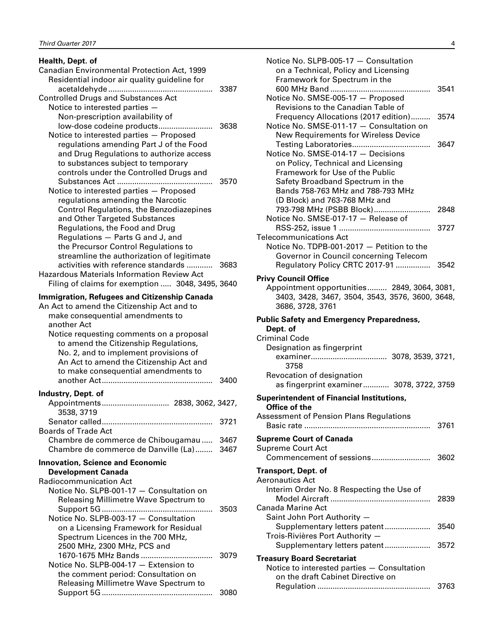| Health, Dept. of<br>Canadian Environmental Protection Act, 1999                    |      |  |  |  |
|------------------------------------------------------------------------------------|------|--|--|--|
| Residential indoor air quality guideline for                                       |      |  |  |  |
|                                                                                    | 3387 |  |  |  |
| <b>Controlled Drugs and Substances Act</b>                                         |      |  |  |  |
| Notice to interested parties -                                                     |      |  |  |  |
| Non-prescription availability of                                                   |      |  |  |  |
| low-dose codeine products                                                          | 3638 |  |  |  |
| Notice to interested parties - Proposed                                            |      |  |  |  |
| regulations amending Part J of the Food                                            |      |  |  |  |
| and Drug Regulations to authorize access                                           |      |  |  |  |
| to substances subject to temporary                                                 |      |  |  |  |
| controls under the Controlled Drugs and                                            |      |  |  |  |
|                                                                                    | 3570 |  |  |  |
| Notice to interested parties - Proposed                                            |      |  |  |  |
| regulations amending the Narcotic                                                  |      |  |  |  |
| Control Regulations, the Benzodiazepines                                           |      |  |  |  |
| and Other Targeted Substances                                                      |      |  |  |  |
| Regulations, the Food and Drug                                                     |      |  |  |  |
| Regulations - Parts G and J, and                                                   |      |  |  |  |
| the Precursor Control Regulations to<br>streamline the authorization of legitimate |      |  |  |  |
| activities with reference standards                                                | 3683 |  |  |  |
| <b>Hazardous Materials Information Review Act</b>                                  |      |  |  |  |
| Filing of claims for exemption  3048, 3495, 3640                                   |      |  |  |  |
|                                                                                    |      |  |  |  |
| <b>Immigration, Refugees and Citizenship Canada</b>                                |      |  |  |  |
| An Act to amend the Citizenship Act and to                                         |      |  |  |  |
| make consequential amendments to                                                   |      |  |  |  |
| another Act                                                                        |      |  |  |  |
| Notice requesting comments on a proposal                                           |      |  |  |  |
| to amend the Citizenship Regulations,                                              |      |  |  |  |
|                                                                                    |      |  |  |  |
| No. 2, and to implement provisions of                                              |      |  |  |  |
| An Act to amend the Citizenship Act and                                            |      |  |  |  |
| to make consequential amendments to                                                |      |  |  |  |
|                                                                                    | 3400 |  |  |  |
| Industry, Dept. of                                                                 |      |  |  |  |
|                                                                                    |      |  |  |  |
| 3538, 3719                                                                         |      |  |  |  |
|                                                                                    | 3721 |  |  |  |
| <b>Boards of Trade Act</b>                                                         |      |  |  |  |
| Chambre de commerce de Chibougamau                                                 | 3467 |  |  |  |
| Chambre de commerce de Danville (La)                                               | 3467 |  |  |  |
|                                                                                    |      |  |  |  |
| <b>Innovation, Science and Economic</b>                                            |      |  |  |  |
| <b>Development Canada</b><br>Radiocommunication Act                                |      |  |  |  |
| Notice No. SLPB-001-17 - Consultation on                                           |      |  |  |  |
| Releasing Millimetre Wave Spectrum to                                              |      |  |  |  |
|                                                                                    | 3503 |  |  |  |
| Notice No. SLPB-003-17 - Consultation                                              |      |  |  |  |
| on a Licensing Framework for Residual                                              |      |  |  |  |
| Spectrum Licences in the 700 MHz,                                                  |      |  |  |  |
| 2500 MHz, 2300 MHz, PCS and                                                        |      |  |  |  |
| 1670-1675 MHz Bands                                                                | 3079 |  |  |  |
| Notice No. SLPB-004-17 - Extension to                                              |      |  |  |  |
| the comment period: Consultation on<br>Releasing Millimetre Wave Spectrum to       |      |  |  |  |

Support 5G................................................... 3080

| Notice No. SLPB-005-17 - Consultation                                            |      |
|----------------------------------------------------------------------------------|------|
| on a Technical, Policy and Licensing                                             |      |
| Framework for Spectrum in the                                                    | 3541 |
| Notice No. SMSE-005-17 - Proposed                                                |      |
| Revisions to the Canadian Table of                                               |      |
| Frequency Allocations (2017 edition)<br>Notice No. SMSE-011-17 - Consultation on | 3574 |
| New Requirements for Wireless Device                                             |      |
|                                                                                  | 3647 |
| Notice No. SMSE-014-17 - Decisions                                               |      |
| on Policy, Technical and Licensing                                               |      |
| Framework for Use of the Public                                                  |      |
| Safety Broadband Spectrum in the                                                 |      |
| Bands 758-763 MHz and 788-793 MHz                                                |      |
| (D Block) and 763-768 MHz and                                                    |      |
|                                                                                  |      |
| Notice No. SMSE-017-17 - Release of                                              |      |
|                                                                                  | 3727 |
| <b>Telecommunications Act</b>                                                    |      |
| Notice No. TDPB-001-2017 - Petition to the                                       |      |
| Governor in Council concerning Telecom                                           |      |
| Regulatory Policy CRTC 2017-91                                                   | 3542 |
| <b>Privy Council Office</b>                                                      |      |
| Appointment opportunities 2849, 3064, 3081,                                      |      |
| 3403, 3428, 3467, 3504, 3543, 3576, 3600, 3648,                                  |      |
| 3686, 3728, 3761                                                                 |      |
| <b>Public Safety and Emergency Preparedness,</b>                                 |      |
| Dept. of                                                                         |      |
| Criminal Code                                                                    |      |
| Designation as fingerprint                                                       |      |
|                                                                                  |      |
| 3758                                                                             |      |
| Revocation of designation<br>as fingerprint examiner 3078, 3722, 3759            |      |
|                                                                                  |      |
| <b>Superintendent of Financial Institutions,</b>                                 |      |
| Office of the<br>Assessment of Pension Plans Regulations                         |      |
|                                                                                  | 3761 |
|                                                                                  |      |
| <b>Supreme Court of Canada</b>                                                   |      |
| Supreme Court Act                                                                |      |
|                                                                                  |      |
| <b>Transport, Dept. of</b>                                                       |      |
| Aeronautics Act                                                                  |      |
| Interim Order No. 8 Respecting the Use of                                        |      |
|                                                                                  | 2839 |
| Canada Marine Act                                                                |      |
| Saint John Port Authority -                                                      |      |
| Supplementary letters patent<br>Trois-Rivières Port Authority -                  | 3540 |
|                                                                                  |      |
|                                                                                  |      |
| Supplementary letters patent                                                     | 3572 |
| <b>Treasury Board Secretariat</b>                                                |      |
| Notice to interested parties - Consultation                                      |      |
| on the draft Cabinet Directive on                                                |      |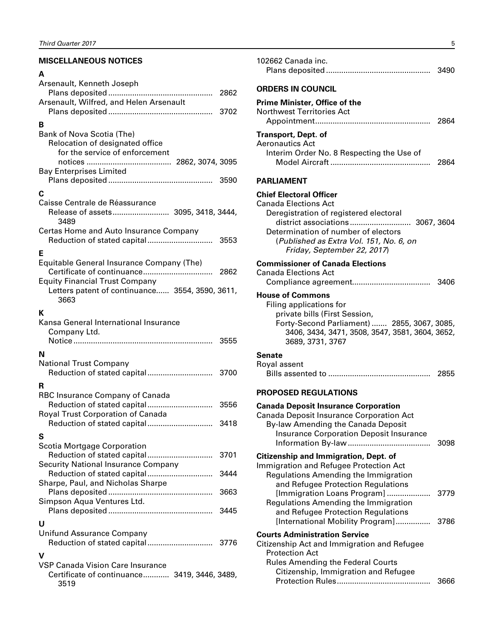### <span id="page-6-0"></span>**MISCELLANEOUS NOTICES**

### **A**

| Arsenault, Kenneth Joseph                       | 2862 |
|-------------------------------------------------|------|
| Arsenault, Wilfred, and Helen Arsenault         | 3702 |
|                                                 |      |
| в<br>Bank of Nova Scotia (The)                  |      |
| Relocation of designated office                 |      |
| for the service of enforcement                  |      |
|                                                 |      |
| <b>Bay Enterprises Limited</b>                  |      |
|                                                 | 3590 |
| С                                               |      |
| Caisse Centrale de Réassurance                  |      |
| Release of assets 3095, 3418, 3444,<br>3489     |      |
| Certas Home and Auto Insurance Company          |      |
|                                                 |      |
|                                                 |      |
| Е                                               |      |
| Equitable General Insurance Company (The)       | 2862 |
| <b>Equity Financial Trust Company</b>           |      |
| Letters patent of continuance 3554, 3590, 3611, |      |
| 3663                                            |      |
| к                                               |      |
| Kansa General International Insurance           |      |
| Company Ltd.                                    |      |
|                                                 | 3555 |
| N                                               |      |
| <b>National Trust Company</b>                   |      |
| Reduction of stated capital                     | 3700 |
|                                                 |      |
| R                                               |      |
| RBC Insurance Company of Canada                 |      |
| Royal Trust Corporation of Canada               |      |
|                                                 | 3418 |
|                                                 |      |
| S                                               |      |
| Scotia Mortgage Corporation                     | 3701 |
| <b>Security National Insurance Company</b>      |      |
| Reduction of stated capital                     | 3444 |
| Sharpe, Paul, and Nicholas Sharpe               |      |
|                                                 | 3663 |
| Simpson Aqua Ventures Ltd.                      |      |
|                                                 | 3445 |
| U                                               |      |
| <b>Unifund Assurance Company</b>                |      |
|                                                 |      |
| v                                               |      |
| <b>VSP Canada Vision Care Insurance</b>         |      |
| Certificate of continuance 3419, 3446, 3489,    |      |
| 3519                                            |      |

| 102662 Canada inc.<br>3490                                                                                                                                                                                                                                   |  |
|--------------------------------------------------------------------------------------------------------------------------------------------------------------------------------------------------------------------------------------------------------------|--|
| <b>ORDERS IN COUNCIL</b>                                                                                                                                                                                                                                     |  |
| <b>Prime Minister, Office of the</b><br><b>Northwest Territories Act</b><br>2864                                                                                                                                                                             |  |
| Transport, Dept. of<br><b>Aeronautics Act</b><br>Interim Order No. 8 Respecting the Use of<br>2864                                                                                                                                                           |  |
| PARLIAMENT                                                                                                                                                                                                                                                   |  |
| <b>Chief Electoral Officer</b><br><b>Canada Elections Act</b><br>Deregistration of registered electoral<br>district associations 3067, 3604<br>Determination of number of electors<br>(Published as Extra Vol. 151, No. 6, on<br>Friday, September 22, 2017) |  |
| <b>Commissioner of Canada Elections</b><br><b>Canada Elections Act</b>                                                                                                                                                                                       |  |
| <b>House of Commons</b><br>Filing applications for<br>private bills (First Session,<br>Forty-Second Parliament)  2855, 3067, 3085,<br>3406, 3434, 3471, 3508, 3547, 3581, 3604, 3652,<br>3689, 3731, 3767                                                    |  |
| Senate<br>Royal assent<br>2855                                                                                                                                                                                                                               |  |
| <b>PROPOSED REGULATIONS</b>                                                                                                                                                                                                                                  |  |
| <b>Canada Deposit Insurance Corporation</b><br>Canada Deposit Insurance Corporation Act<br>By-law Amending the Canada Deposit<br><b>Insurance Corporation Deposit Insurance</b><br>3098<br><b>Citizenship and Immigration, Dept. of</b>                      |  |
| Immigration and Refugee Protection Act<br>Regulations Amending the Immigration<br>and Refugee Protection Regulations<br>[Immigration Loans Program]<br>3779                                                                                                  |  |
| Regulations Amending the Immigration<br>and Refugee Protection Regulations<br>[International Mobility Program]<br>3786                                                                                                                                       |  |
| <b>Courts Administration Service</b><br>Citizenship Act and Immigration and Refugee<br><b>Protection Act</b><br><b>Rules Amending the Federal Courts</b>                                                                                                     |  |
| Citizenship, Immigration and Refugee<br>3666                                                                                                                                                                                                                 |  |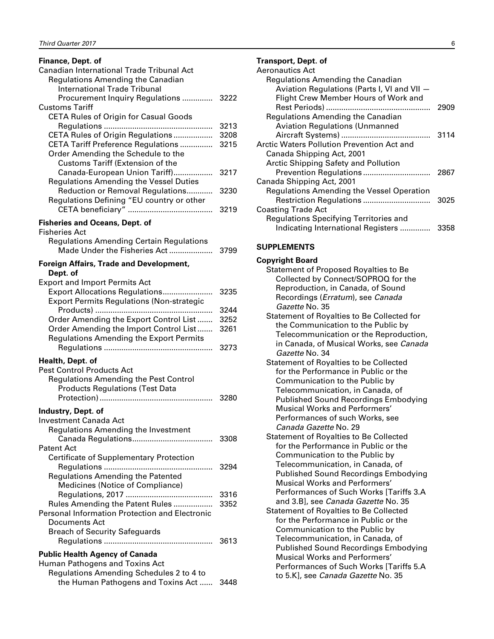<span id="page-7-0"></span>

| Finance, Dept. of                                                                                                     |              |  |  |  |
|-----------------------------------------------------------------------------------------------------------------------|--------------|--|--|--|
| Canadian International Trade Tribunal Act<br>Regulations Amending the Canadian<br><b>International Trade Tribunal</b> |              |  |  |  |
| Procurement Inquiry Regulations  3222<br><b>Customs Tariff</b>                                                        |              |  |  |  |
| <b>CETA Rules of Origin for Casual Goods</b>                                                                          |              |  |  |  |
| CETA Rules of Origin Regulations                                                                                      | 3213<br>3208 |  |  |  |
| CETA Tariff Preference Regulations<br>Order Amending the Schedule to the<br><b>Customs Tariff (Extension of the</b>   | 3215         |  |  |  |
| Canada-European Union Tariff)<br><b>Regulations Amending the Vessel Duties</b>                                        | 3217         |  |  |  |
| Reduction or Removal Regulations<br>Regulations Defining "EU country or other                                         | 3230         |  |  |  |
|                                                                                                                       | 3219         |  |  |  |
| <b>Fisheries and Oceans, Dept. of</b><br><b>Fisheries Act</b>                                                         |              |  |  |  |
| <b>Regulations Amending Certain Regulations</b><br>Made Under the Fisheries Act                                       | 3799         |  |  |  |
| <b>Foreign Affairs, Trade and Development,</b>                                                                        |              |  |  |  |
| Dept. of<br><b>Export and Import Permits Act</b>                                                                      |              |  |  |  |
| Export Allocations Regulations                                                                                        | 3235         |  |  |  |
| <b>Export Permits Regulations (Non-strategic</b>                                                                      | 3244         |  |  |  |
| Order Amending the Export Control List                                                                                | 3252         |  |  |  |
| Order Amending the Import Control List<br><b>Regulations Amending the Export Permits</b>                              | 3261         |  |  |  |
| Health, Dept. of                                                                                                      | 3273         |  |  |  |
| <b>Pest Control Products Act</b>                                                                                      |              |  |  |  |
| <b>Regulations Amending the Pest Control</b>                                                                          |              |  |  |  |
| <b>Products Regulations (Test Data</b>                                                                                | 3280         |  |  |  |
| Industry, Dept. of                                                                                                    |              |  |  |  |
| <b>Investment Canada Act</b>                                                                                          |              |  |  |  |
| Regulations Amending the Investment                                                                                   | 3308         |  |  |  |
| Patent Act                                                                                                            |              |  |  |  |
| <b>Certificate of Supplementary Protection</b>                                                                        |              |  |  |  |
| <b>Regulations Amending the Patented</b>                                                                              | 3294         |  |  |  |
| Medicines (Notice of Compliance)                                                                                      |              |  |  |  |
|                                                                                                                       | 3316<br>3352 |  |  |  |
| Rules Amending the Patent Rules<br><b>Personal Information Protection and Electronic</b>                              |              |  |  |  |
| Documents Act                                                                                                         |              |  |  |  |
| <b>Breach of Security Safeguards</b>                                                                                  | 3613         |  |  |  |
| <b>Public Health Agency of Canada</b>                                                                                 |              |  |  |  |
| Human Pathogens and Toxins Act                                                                                        |              |  |  |  |
| Regulations Amending Schedules 2 to 4 to                                                                              |              |  |  |  |

the Human Pathogens and Toxins Act ...... 3448

### **Transport, Dept. of**

| Aeronautics Act                                   |      |
|---------------------------------------------------|------|
| Regulations Amending the Canadian                 |      |
| Aviation Regulations (Parts I, VI and VII -       |      |
| Flight Crew Member Hours of Work and              |      |
|                                                   | 2909 |
| Regulations Amending the Canadian                 |      |
| <b>Aviation Regulations (Unmanned</b>             |      |
|                                                   | 3114 |
| <b>Arctic Waters Pollution Prevention Act and</b> |      |
| Canada Shipping Act, 2001                         |      |
| <b>Arctic Shipping Safety and Pollution</b>       |      |
| Prevention Regulations                            | 2867 |
| Canada Shipping Act, 2001                         |      |
| <b>Regulations Amending the Vessel Operation</b>  |      |
|                                                   | 3025 |
| <b>Coasting Trade Act</b>                         |      |
| Regulations Specifying Territories and            |      |
| Indicating International Registers                | 3358 |

### **SUPPLEMENTS**

### **Copyright Board**

| Statement of Proposed Royalties to Be                            |
|------------------------------------------------------------------|
| Collected by Connect/SOPROQ for the                              |
| Reproduction, in Canada, of Sound                                |
| Recordings ( <i>Erratum</i> ), see <i>Canada</i>                 |
| Gazette No. 35                                                   |
| Statement of Royalties to Be Collected for                       |
| the Communication to the Public by                               |
| Telecommunication or the Reproduction,                           |
| in Canada, of Musical Works, see Canada                          |
| Gazette No. 34                                                   |
|                                                                  |
| <b>Statement of Royalties to be Collected</b>                    |
| for the Performance in Public or the                             |
| Communication to the Public by                                   |
| Telecommunication, in Canada, of                                 |
| <b>Published Sound Recordings Embodying</b>                      |
| Musical Works and Performers'                                    |
| Performances of such Works, see                                  |
| Canada Gazette No. 29                                            |
| <b>Statement of Royalties to Be Collected</b>                    |
| for the Performance in Public or the                             |
| Communication to the Public by                                   |
| Telecommunication, in Canada, of                                 |
| <b>Published Sound Recordings Embodying</b>                      |
| <b>Musical Works and Performers'</b>                             |
| Performances of Such Works [Tariffs 3.A                          |
| and 3.B], see Canada Gazette No. 35                              |
| <b>Statement of Royalties to Be Collected</b>                    |
| for the Performance in Public or the                             |
|                                                                  |
| Communication to the Public by<br>Telesammunication in Canada of |
|                                                                  |

| Communication to the Public by              |
|---------------------------------------------|
| Telecommunication, in Canada, of            |
| <b>Published Sound Recordings Embodying</b> |
| <b>Musical Works and Performers'</b>        |
| Performances of Such Works [Tariffs 5.A     |
| to 5.K], see Canada Gazette No. 35          |
|                                             |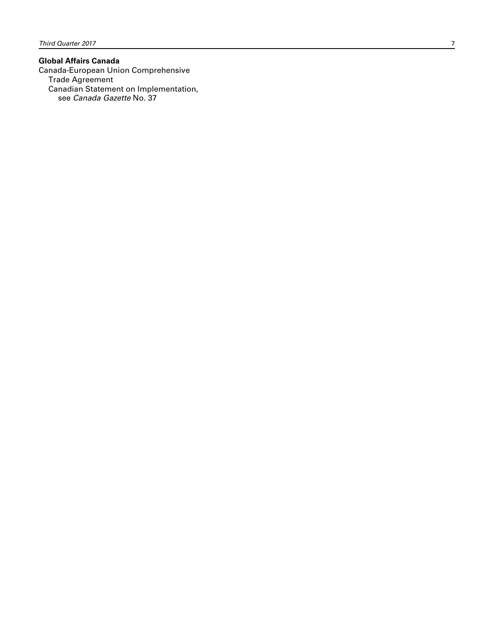#### **Global Affairs Canada**

Canada-European Union Comprehensive Trade Agreement Canadian Statement on Implementation, see *Canada Gazette* No. 37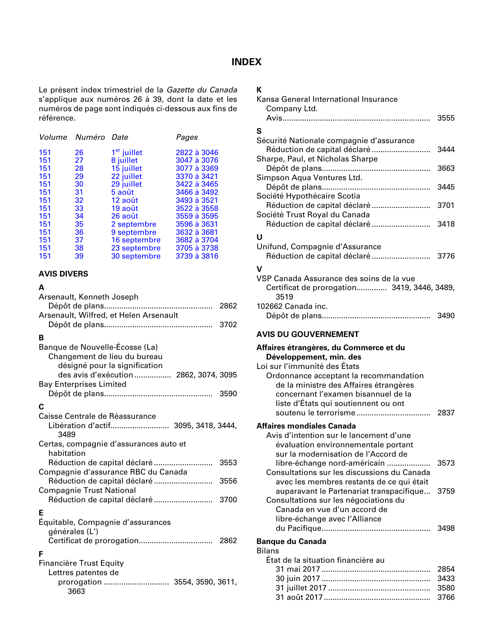### **INDEX**

<span id="page-9-0"></span>Le présent index trimestriel de la *Gazette du Canada* s'applique aux numéros 26 à 39, dont la date et les numéros de page sont indiqués ci-dessous aux fins de référence.

|    |               | Pages              |
|----|---------------|--------------------|
| 26 | $1er$ juillet | 2822 à 3046        |
| 27 | 8 juillet     | 3047 à 3076        |
| 28 | 15 juillet    | 3077 à 3369        |
| 29 | 22 juillet    | 3370 à 3421        |
| 30 | 29 juillet    | 3422 à 3465        |
| 31 | 5 août        | 3466 à 3492        |
| 32 | 12 août       | 3493 à 3521        |
| 33 | 19 août       | 3522 à 3558        |
| 34 | 26 août       | 3559 à 3595        |
| 35 | 2 septembre   | 3596 à 3631        |
| 36 | 9 septembre   | 3632 à 3681        |
| 37 | 16 septembre  | 3682 à 3704        |
| 38 | 23 septembre  | 3705 à 3738        |
| 39 | 30 septembre  | 3739 à 3816        |
|    |               | Volume Numéro Date |

### **AVIS DIVERS**

#### **A**

| Arsenault, Kenneth Joseph                                                                       |      |
|-------------------------------------------------------------------------------------------------|------|
| Arsenault, Wilfred, et Helen Arsenault                                                          | 2862 |
|                                                                                                 | 3702 |
| B                                                                                               |      |
| Banque de Nouvelle-Écosse (La)<br>Changement de lieu du bureau<br>désigné pour la signification |      |
| des avis d'exécution  2862, 3074, 3095<br><b>Bay Enterprises Limited</b>                        |      |
|                                                                                                 |      |
| C                                                                                               |      |
| Caisse Centrale de Réassurance<br>Libération d'actif 3095, 3418, 3444,<br>3489                  |      |
| Certas, compagnie d'assurances auto et<br>habitation                                            |      |
| Réduction de capital déclaré                                                                    | 3553 |
| Compagnie d'assurance RBC du Canada<br>Réduction de capital déclaré                             | 3556 |
| <b>Compagnie Trust National</b>                                                                 |      |
|                                                                                                 |      |
| Е<br>Équitable, Compagnie d'assurances<br>générales (L')                                        |      |
| F                                                                                               |      |
| <b>Financière Trust Equity</b><br>Lettres patentes de                                           |      |
| prorogation  3554, 3590, 3611,<br>3663                                                          |      |

### **K**

| Kansa General International Insurance<br>Company Ltd.                                                                                                           |              |
|-----------------------------------------------------------------------------------------------------------------------------------------------------------------|--------------|
| s                                                                                                                                                               | 3555         |
| Sécurité Nationale compagnie d'assurance<br>Réduction de capital déclaré<br>Sharpe, Paul, et Nicholas Sharpe                                                    | 3444         |
| Simpson Aqua Ventures Ltd.                                                                                                                                      | 3663         |
| Société Hypothécaire Scotia                                                                                                                                     | 3445         |
| Réduction de capital déclaré<br>Société Trust Royal du Canada<br>Réduction de capital déclaré  3418                                                             | 3701         |
| U                                                                                                                                                               |              |
| Unifund, Compagnie d'Assurance<br>Réduction de capital déclaré  3776                                                                                            |              |
| v                                                                                                                                                               |              |
| VSP Canada Assurance des soins de la vue<br>Certificat de prorogation 3419, 3446, 3489,<br>3519                                                                 |              |
| 102662 Canada inc.                                                                                                                                              | 3490         |
| <b>AVIS DU GOUVERNEMENT</b>                                                                                                                                     |              |
| Affaires étrangères, du Commerce et du                                                                                                                          |              |
| Développement, min. des                                                                                                                                         |              |
| Loi sur l'immunité des États                                                                                                                                    |              |
| Ordonnance acceptant la recommandation<br>de la ministre des Affaires étrangères<br>concernant l'examen bisannuel de la<br>liste d'États qui soutiennent ou ont | 2837         |
|                                                                                                                                                                 |              |
| Affaires mondiales Canada<br>Avis d'intention sur le lancement d'une<br>évaluation environnementale portant<br>sur la modernisation de l'Accord de              |              |
| libre-échange nord-américain<br>Consultations sur les discussions du Canada<br>avec les membres restants de ce qui était                                        | 3573         |
| auparavant le Partenariat transpacifique<br>Consultations sur les négociations du<br>Canada en vue d'un accord de<br>libre-échange avec l'Alliance              | 3759         |
|                                                                                                                                                                 | 3498         |
| <b>Banque du Canada</b>                                                                                                                                         |              |
| <b>Bilans</b>                                                                                                                                                   |              |
| État de la situation financière au                                                                                                                              |              |
|                                                                                                                                                                 | 2854<br>3433 |
|                                                                                                                                                                 | 3580         |
|                                                                                                                                                                 | 3766         |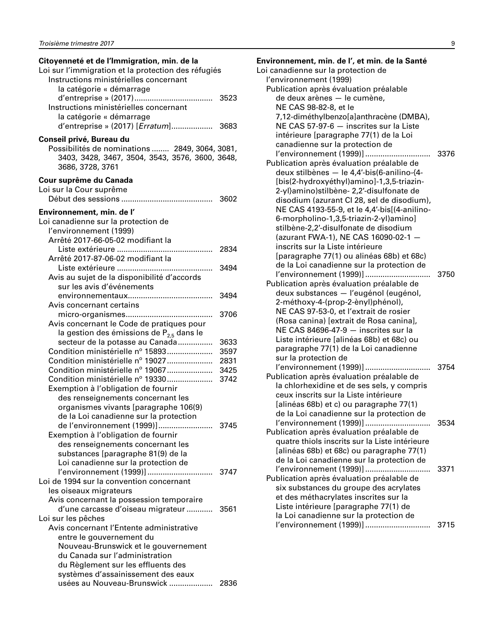### **Citoyenneté et de l'Immigration, min. de la**  Loi sur l'immigration et la protection des réfugiés

| Instructions ministérielles concernant          |      |
|-------------------------------------------------|------|
| la catégorie « démarrage                        |      |
|                                                 |      |
| Instructions ministérielles concernant          |      |
| la catégorie « démarrage                        |      |
| d'entreprise » (2017) [Erratum] 3683            |      |
| Conseil privé, Bureau du                        |      |
| Possibilités de nominations  2849, 3064, 3081,  |      |
| 3403, 3428, 3467, 3504, 3543, 3576, 3600, 3648, |      |
| 3686, 3728, 3761                                |      |
| Cour suprême du Canada                          |      |
| Loi sur la Cour suprême                         |      |
|                                                 |      |
|                                                 |      |
| Environnement, min. de l'                       |      |
| Loi canadienne sur la protection de             |      |
| l'environnement (1999)                          |      |
| Arrêté 2017-66-05-02 modifiant la               |      |
|                                                 | 2834 |
| Arrêté 2017-87-06-02 modifiant la               |      |
|                                                 | 3494 |
| Avis au sujet de la disponibilité d'accords     |      |
| sur les avis d'événements                       |      |
|                                                 | 3494 |
| Avis concernant certains                        |      |
|                                                 | 3706 |
| Avis concernant le Code de pratiques pour       |      |
| la gestion des émissions de $P_{2,5}$ dans le   |      |
| secteur de la potasse au Canada                 | 3633 |
| Condition ministérielle nº 15893                | 3597 |
| Condition ministérielle nº 19027                | 2831 |
| Condition ministérielle nº 19067                | 3425 |
| Condition ministérielle nº 19330                | 3742 |
| Exemption à l'obligation de fournir             |      |
| des renseignements concernant les               |      |
| organismes vivants [paragraphe 106(9)           |      |
| de la Loi canadienne sur la protection          |      |
| de l'environnement (1999)]                      | 3745 |
| Exemption à l'obligation de fournir             |      |
| des renseignements concernant les               |      |
| substances [paragraphe 81(9) de la              |      |
| Loi canadienne sur la protection de             |      |
| l'environnement (1999)]                         | 3747 |
| Loi de 1994 sur la convention concernant        |      |
| les oiseaux migrateurs                          |      |
| Avis concernant la possession temporaire        |      |
| d'une carcasse d'oiseau migrateur  3561         |      |
| Loi sur les pêches                              |      |
| Avis concernant l'Entente administrative        |      |
| entre le gouvernement du                        |      |
| Nouveau-Brunswick et le gouvernement            |      |
| du Canada sur l'administration                  |      |
| du Règlement sur les effluents des              |      |
| systèmes d'assainissement des eaux              |      |
| usées au Nouveau-Brunswick                      | 2836 |

### **Environnement, min. de l', et min. de la Santé** Loi canadienne sur la protection de l'environnement (1999) Publication après évaluation préalable de deux arènes — le cumène, NE CAS 98-82-8, et le 7,12-diméthylbenzo[a]anthracène (DMBA), NE CAS 57-97-6 — inscrites sur la Liste intérieure [paragraphe 77(1) de la Loi

canadienne sur la protection de l'environnement (1999)].............................. 3376 Publication après évaluation préalable de deux stilbènes — le 4,4′-bis(6-anilino-{4- [bis(2-hydroxyéthyl)amino]-1,3,5-triazin-2-yl}amino)stilbène- 2,2′-disulfonate de disodium (azurant CI 28, sel de disodium), NE CAS 4193-55-9, et le 4,4′-bis[(4-anilino-6-morpholino-1,3,5-triazin-2-yl)amino] stilbène-2,2′-disulfonate de disodium (azurant FWA-1), NE CAS 16090-02-1 inscrits sur la Liste intérieure [paragraphe 77(1) ou alinéas 68b) et 68c) de la Loi canadienne sur la protection de l'environnement (1999)].............................. 3750 Publication après évaluation préalable de deux substances — l'eugénol (eugénol, 2-méthoxy-4-(prop-2-ènyl)phénol), NE CAS 97-53-0, et l'extrait de rosier (Rosa canina) [extrait de Rosa canina], NE CAS 84696-47-9 — inscrites sur la Liste intérieure [alinéas 68b) et 68c) ou paragraphe 77(1) de la Loi canadienne sur la protection de l'environnement (1999)].............................. 3754 Publication après évaluation préalable de la chlorhexidine et de ses sels, y compris ceux inscrits sur la Liste intérieure [alinéas 68b) et c) ou paragraphe 77(1) de la Loi canadienne sur la protection de l'environnement (1999)].............................. 3534 Publication après évaluation préalable de quatre thiols inscrits sur la Liste intérieure [alinéas 68b) et 68c) ou paragraphe 77(1) de la Loi canadienne sur la protection de l'environnement (1999)].............................. 3371

|                                           | ا ہیں |
|-------------------------------------------|-------|
| Publication après évaluation préalable de |       |
| six substances du groupe des acrylates    |       |
| et des méthacrylates inscrites sur la     |       |
| Liste intérieure [paragraphe 77(1) de     |       |
| la Loi canadienne sur la protection de    |       |
| l'environnement (1999)]                   | 3715  |
|                                           |       |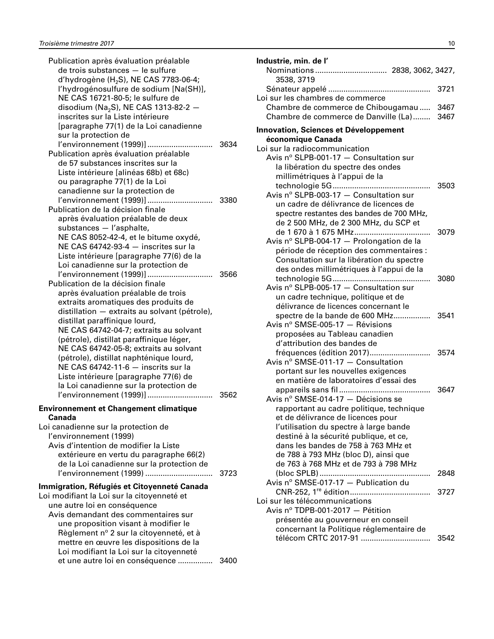| Publication après évaluation préalable<br>de trois substances - le sulfure<br>d'hydrogène (H <sub>2</sub> S), NE CAS 7783-06-4;<br>l'hydrogénosulfure de sodium [Na(SH)],<br>NE CAS 16721-80-5; le sulfure de<br>disodium (Na <sub>2</sub> S), NE CAS 1313-82-2 -<br>inscrites sur la Liste intérieure<br>[paragraphe 77(1) de la Loi canadienne<br>sur la protection de                                                                                                                                                                                                                                                                                                                                                          |              |
|-----------------------------------------------------------------------------------------------------------------------------------------------------------------------------------------------------------------------------------------------------------------------------------------------------------------------------------------------------------------------------------------------------------------------------------------------------------------------------------------------------------------------------------------------------------------------------------------------------------------------------------------------------------------------------------------------------------------------------------|--------------|
| l'environnement (1999)]<br>Publication après évaluation préalable<br>de 57 substances inscrites sur la<br>Liste intérieure [alinéas 68b) et 68c)<br>ou paragraphe 77(1) de la Loi                                                                                                                                                                                                                                                                                                                                                                                                                                                                                                                                                 | 3634         |
| canadienne sur la protection de<br>l'environnement (1999)]<br>Publication de la décision finale<br>après évaluation préalable de deux<br>substances - l'asphalte,                                                                                                                                                                                                                                                                                                                                                                                                                                                                                                                                                                 | 3380         |
| NE CAS 8052-42-4, et le bitume oxydé,<br>NE CAS 64742-93-4 - inscrites sur la<br>Liste intérieure [paragraphe 77(6) de la<br>Loi canadienne sur la protection de<br>l'environnement (1999)]<br>Publication de la décision finale<br>après évaluation préalable de trois<br>extraits aromatiques des produits de<br>distillation - extraits au solvant (pétrole),<br>distillat paraffinique lourd,<br>NE CAS 64742-04-7; extraits au solvant<br>(pétrole), distillat paraffinique léger,<br>NE CAS 64742-05-8; extraits au solvant<br>(pétrole), distillat naphténique lourd,<br>NE CAS 64742-11-6 - inscrits sur la<br>Liste intérieure [paragraphe 77(6) de<br>la Loi canadienne sur la protection de<br>l'environnement (1999)] | 3566<br>3562 |
| <b>Environnement et Changement climatique</b><br>Canada<br>Loi canadienne sur la protection de<br>l'environnement (1999)<br>Avis d'intention de modifier la Liste<br>extérieure en vertu du paragraphe 66(2)<br>de la Loi canadienne sur la protection de                                                                                                                                                                                                                                                                                                                                                                                                                                                                         |              |
| l'environnement (1999)<br>Immigration, Réfugiés et Citoyenneté Canada<br>Loi modifiant la Loi sur la citoyenneté et<br>une autre loi en conséquence<br>Avis demandant des commentaires sur<br>une proposition visant à modifier le<br>Règlement nº 2 sur la citoyenneté, et à<br>mettre en œuvre les dispositions de la<br>Loi modifiant la Loi sur la citoyenneté<br>et une autre loi en conséquence                                                                                                                                                                                                                                                                                                                             | 3723<br>3400 |
|                                                                                                                                                                                                                                                                                                                                                                                                                                                                                                                                                                                                                                                                                                                                   |              |

| Industrie, min. de l'                                                         |              |
|-------------------------------------------------------------------------------|--------------|
| 3538, 3719                                                                    |              |
| Loi sur les chambres de commerce                                              | 3721         |
| Chambre de commerce de Chibougamau<br>Chambre de commerce de Danville (La)    | 3467<br>3467 |
| Innovation, Sciences et Développement                                         |              |
| économique Canada                                                             |              |
| Loi sur la radiocommunication                                                 |              |
| Avis nº SLPB-001-17 - Consultation sur                                        |              |
| la libération du spectre des ondes<br>millimétriques à l'appui de la          |              |
|                                                                               | 3503         |
| Avis nº SLPB-003-17 - Consultation sur                                        |              |
| un cadre de délivrance de licences de                                         |              |
| spectre restantes des bandes de 700 MHz,                                      |              |
| de 2 500 MHz, de 2 300 MHz, du SCP et                                         |              |
| de 1 670 à 1 675 MHz                                                          | 3079         |
| Avis nº SLPB-004-17 - Prolongation de la                                      |              |
| période de réception des commentaires :                                       |              |
| Consultation sur la libération du spectre                                     |              |
| des ondes millimétriques à l'appui de la                                      | 3080         |
| Avis nº SLPB-005-17 - Consultation sur                                        |              |
| un cadre technique, politique et de                                           |              |
| délivrance de licences concernant le                                          |              |
| spectre de la bande de 600 MHz                                                | 3541         |
| Avis nº SMSE-005-17 - Révisions                                               |              |
| proposées au Tableau canadien                                                 |              |
| d'attribution des bandes de                                                   |              |
| fréquences (édition 2017)                                                     | 3574         |
| Avis nº SMSE-011-17 - Consultation                                            |              |
| portant sur les nouvelles exigences<br>en matière de laboratoires d'essai des |              |
|                                                                               | 3647         |
| Avis nº SMSE-014-17 - Décisions se                                            |              |
| rapportant au cadre politique, technique                                      |              |
| et de délivrance de licences pour                                             |              |
| l'utilisation du spectre à large bande                                        |              |
| destiné à la sécurité publique, et ce,                                        |              |
| dans les bandes de 758 à 763 MHz et                                           |              |
| de 788 à 793 MHz (bloc D), ainsi que                                          |              |
| de 763 à 768 MHz et de 793 à 798 MHz                                          | 2848         |
| Avis nº SMSE-017-17 - Publication du                                          |              |
|                                                                               | 3727         |
| Loi sur les télécommunications                                                |              |
| Avis nº TDPB-001-2017 - Pétition                                              |              |
| présentée au gouverneur en conseil                                            |              |
| concernant la Politique réglementaire de                                      |              |
| télécom CRTC 2017-91                                                          | 3542         |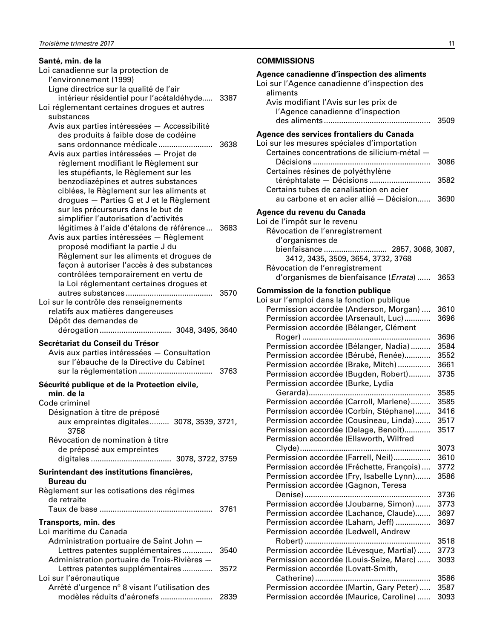<span id="page-12-0"></span>

| Santé, min. de la                                                                     |      |
|---------------------------------------------------------------------------------------|------|
| Loi canadienne sur la protection de                                                   |      |
| l'environnement (1999)                                                                |      |
| Ligne directrice sur la qualité de l'air                                              |      |
| intérieur résidentiel pour l'acétaldéhyde 3387                                        |      |
| Loi réglementant certaines drogues et autres                                          |      |
| substances                                                                            |      |
| Avis aux parties intéressées - Accessibilité<br>des produits à faible dose de codéine |      |
| sans ordonnance médicale                                                              | 3638 |
| Avis aux parties intéressées - Projet de                                              |      |
| règlement modifiant le Règlement sur                                                  |      |
| les stupéfiants, le Règlement sur les                                                 |      |
| benzodiazépines et autres substances                                                  |      |
| ciblées, le Règlement sur les aliments et                                             |      |
| drogues - Parties G et J et le Règlement                                              |      |
| sur les précurseurs dans le but de                                                    |      |
| simplifier l'autorisation d'activités                                                 |      |
| légitimes à l'aide d'étalons de référence                                             | 3683 |
| Avis aux parties intéressées - Règlement                                              |      |
| proposé modifiant la partie J du                                                      |      |
| Règlement sur les aliments et drogues de                                              |      |
| façon à autoriser l'accès à des substances                                            |      |
| contrôlées temporairement en vertu de                                                 |      |
| la Loi réglementant certaines drogues et<br>autres substances<br>.                    | 3570 |
| Loi sur le contrôle des renseignements                                                |      |
| relatifs aux matières dangereuses                                                     |      |
| Dépôt des demandes de                                                                 |      |
| dérogation 3048, 3495, 3640                                                           |      |
| Secrétariat du Conseil du Trésor                                                      |      |
| Avis aux parties intéressées - Consultation                                           |      |
| sur l'ébauche de la Directive du Cabinet                                              |      |
|                                                                                       | 3763 |
|                                                                                       |      |
| Sécurité publique et de la Protection civile,<br>min. de la                           |      |
| Code criminel                                                                         |      |
| Désignation à titre de préposé                                                        |      |
| aux empreintes digitales 3078, 3539, 3721,                                            |      |
| 3758                                                                                  |      |
| Révocation de nomination à titre                                                      |      |
| de préposé aux empreintes                                                             |      |
|                                                                                       |      |
| Surintendant des institutions financières.                                            |      |
| Bureau du                                                                             |      |
| Règlement sur les cotisations des régimes                                             |      |
| de retraite                                                                           |      |
|                                                                                       | 3761 |
| Transports, min. des                                                                  |      |
| Loi maritime du Canada                                                                |      |
| Administration portuaire de Saint John -                                              |      |
| Lettres patentes supplémentaires                                                      | 3540 |
| Administration portuaire de Trois-Rivières -                                          |      |
| Lettres patentes supplémentaires                                                      | 3572 |
| Loi sur l'aéronautique                                                                |      |
| Arrêté d'urgence nº 8 visant l'utilisation des                                        |      |
| modèles réduits d'aéronefs                                                            | 2839 |

### **COMMISSIONS**

| Agence canadienne d'inspection des aliments<br>Loi sur l'Agence canadienne d'inspection des<br>aliments<br>Avis modifiant l'Avis sur les prix de<br>l'Agence canadienne d'inspection | 3509         |
|--------------------------------------------------------------------------------------------------------------------------------------------------------------------------------------|--------------|
| Agence des services frontaliers du Canada<br>Loi sur les mesures spéciales d'importation                                                                                             |              |
| Certaines concentrations de silicium-métal -                                                                                                                                         | 3086         |
| Certaines résines de polyéthylène<br>téréphtalate - Décisions<br>Certains tubes de canalisation en acier                                                                             | 3582         |
| au carbone et en acier allié - Décision                                                                                                                                              | 3690         |
| Agence du revenu du Canada<br>Loi de l'impôt sur le revenu                                                                                                                           |              |
| Révocation de l'enregistrement<br>d'organismes de                                                                                                                                    |              |
| bienfaisance 2857, 3068, 3087,<br>3412, 3435, 3509, 3654, 3732, 3768<br>Révocation de l'enregistrement                                                                               |              |
| d'organismes de bienfaisance (Errata)                                                                                                                                                | 3653         |
| <b>Commission de la fonction publique</b>                                                                                                                                            |              |
| Loi sur l'emploi dans la fonction publique                                                                                                                                           |              |
| Permission accordée (Anderson, Morgan)                                                                                                                                               | 3610         |
| Permission accordée (Arsenault, Luc)<br>Permission accordée (Bélanger, Clément                                                                                                       | 3696         |
|                                                                                                                                                                                      | 3696         |
| Permission accordée (Bélanger, Nadia)                                                                                                                                                | 3584         |
| Permission accordée (Bérubé, Renée)                                                                                                                                                  | 3552         |
| Permission accordée (Brake, Mitch)                                                                                                                                                   | 3661         |
| Permission accordée (Bugden, Robert)<br>Permission accordée (Burke, Lydia                                                                                                            | 3735         |
| Gerarda)<br>Permission accordée (Carroll, Marlene)                                                                                                                                   | 3585         |
| Permission accordée (Corbin, Stéphane)                                                                                                                                               | 3585<br>3416 |
| Permission accordée (Cousineau, Linda)                                                                                                                                               | 3517         |
| Permission accordée (Delage, Benoit)                                                                                                                                                 | 3517         |
| Permission accordée (Ellsworth, Wilfred<br>Clyde)                                                                                                                                    | 3073         |
| Permission accordée (Farrell, Neil)                                                                                                                                                  | 3610         |
| Permission accordée (Fréchette, François)                                                                                                                                            | 3772         |
| Permission accordée (Fry, Isabelle Lynn)                                                                                                                                             | 3586         |
| Permission accordée (Gagnon, Teresa                                                                                                                                                  |              |
|                                                                                                                                                                                      | 3736         |
| Permission accordée (Joubarne, Simon)                                                                                                                                                | 3773         |
| Permission accordée (Lachance, Claude)                                                                                                                                               | 3697         |
| Permission accordée (Laham, Jeff)                                                                                                                                                    | 3697         |
| Permission accordée (Ledwell, Andrew                                                                                                                                                 |              |
|                                                                                                                                                                                      | 3518         |
| Permission accordée (Lévesque, Martial)                                                                                                                                              | 3773         |
| Permission accordée (Louis-Seize, Marc)<br>Permission accordée (Lovatt-Smith,                                                                                                        | 3093         |
|                                                                                                                                                                                      | 3586         |
| Permission accordée (Martin, Gary Peter)<br>Permission accordée (Maurice, Caroline)                                                                                                  | 3587<br>3093 |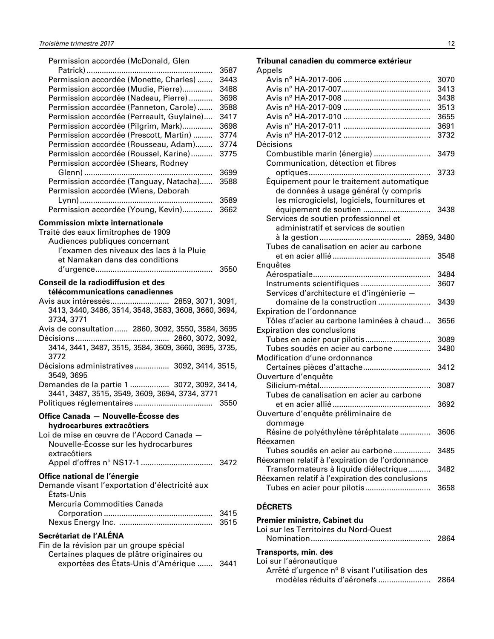<span id="page-13-0"></span>

| Permission accordée (McDonald, Glen                                 |      |
|---------------------------------------------------------------------|------|
|                                                                     | 3587 |
| Permission accordée (Monette, Charles)                              | 3443 |
| Permission accordée (Mudie, Pierre)                                 | 3488 |
| Permission accordée (Nadeau, Pierre)                                | 3698 |
| Permission accordée (Panneton, Carole)                              | 3588 |
| Permission accordée (Perreault, Guylaine)                           | 3417 |
| Permission accordée (Pilgrim, Mark)                                 | 3698 |
| Permission accordée (Prescott, Martin)                              | 3774 |
| Permission accordée (Rousseau, Adam)                                | 3774 |
| Permission accordée (Roussel, Karine)                               | 3775 |
| Permission accordée (Shears, Rodney                                 |      |
|                                                                     | 3699 |
| Permission accordée (Tanguay, Natacha)                              | 3588 |
| Permission accordée (Wiens, Deborah                                 |      |
|                                                                     | 3589 |
| Permission accordée (Young, Kevin)                                  | 3662 |
| <b>Commission mixte internationale</b>                              |      |
| Traité des eaux limitrophes de 1909                                 |      |
| Audiences publiques concernant                                      |      |
| l'examen des niveaux des lacs à la Pluie                            |      |
| et Namakan dans des conditions                                      |      |
|                                                                     | 3550 |
| Conseil de la radiodiffusion et des                                 |      |
| télécommunications canadiennes                                      |      |
| Avis aux intéressés 2859, 3071, 3091,                               |      |
| 3413, 3440, 3486, 3514, 3548, 3583, 3608, 3660, 3694,<br>3734, 3771 |      |
| Avis de consultation  2860, 3092, 3550, 3584, 3695                  |      |
|                                                                     |      |
| 3414, 3441, 3487, 3515, 3584, 3609, 3660, 3695, 3735,               |      |
| 3772                                                                |      |
| Décisions administratives 3092, 3414, 3515,<br>3549, 3695           |      |
| Demandes de la partie 1  3072, 3092, 3414,                          |      |
| 3441, 3487, 3515, 3549, 3609, 3694, 3734, 3771                      |      |
|                                                                     | 3550 |
| Office Canada - Nouvelle-Écosse des                                 |      |
| hydrocarbures extracôtiers                                          |      |
| Loi de mise en œuvre de l'Accord Canada -                           |      |
| Nouvelle-Écosse sur les hydrocarbures                               |      |
| extracôtiers                                                        |      |
|                                                                     |      |
|                                                                     |      |
| Office national de l'énergie                                        |      |
| Demande visant l'exportation d'électricité aux<br>États-Unis        |      |
| Mercuria Commodities Canada                                         |      |
|                                                                     | 3415 |
|                                                                     | 3515 |
|                                                                     |      |
| Secrétariat de l'ALÉNA                                              |      |
| Fin de la révision par un groupe spécial                            |      |

| i ili ue la revisión par un groupe special |  |
|--------------------------------------------|--|
| Certaines plaques de plâtre originaires ou |  |
| exportées des États-Unis d'Amérique  3441  |  |

### **Tribunal canadien du commerce extérieur**

| uicii uu<br>Appels                              |      |
|-------------------------------------------------|------|
|                                                 | 3070 |
|                                                 | 3413 |
|                                                 | 3438 |
|                                                 | 3513 |
|                                                 | 3655 |
|                                                 | 3691 |
|                                                 | 3732 |
| Décisions                                       |      |
| Combustible marin (énergie)                     | 3479 |
| Communication, détection et fibres              |      |
|                                                 | 3733 |
| Équipement pour le traitement automatique       |      |
| de données à usage général (y compris           |      |
| les microgiciels), logiciels, fournitures et    |      |
| équipement de soutien                           | 3438 |
| Services de soutien professionnel et            |      |
| administratif et services de soutien            |      |
|                                                 |      |
| Tubes de canalisation en acier au carbone       |      |
|                                                 | 3548 |
| Enquêtes                                        |      |
|                                                 | 3484 |
| Instruments scientifiques                       | 3607 |
| Services d'architecture et d'ingénierie -       |      |
| domaine de la construction                      | 3439 |
| Expiration de l'ordonnance                      |      |
| Tôles d'acier au carbone laminées à chaud       | 3656 |
| <b>Expiration des conclusions</b>               |      |
|                                                 | 3089 |
| Tubes soudés en acier au carbone                | 3480 |
| Modification d'une ordonnance                   |      |
| Certaines pièces d'attache                      | 3412 |
| Ouverture d'enquête                             |      |
|                                                 | 3087 |
| Tubes de canalisation en acier au carbone       |      |
|                                                 | 3692 |
| Ouverture d'enquête préliminaire de             |      |
|                                                 |      |
| dommage                                         |      |
| Résine de polyéthylène téréphtalate             | 3606 |
| Réexamen                                        |      |
| Tubes soudés en acier au carbone                | 3485 |
| Réexamen relatif à l'expiration de l'ordonnance |      |
| Transformateurs à liquide diélectrique          | 3482 |
| Réexamen relatif à l'expiration des conclusions |      |
| Tubes en acier pour pilotis                     | 3658 |

### **DÉCRETS**

#### **Premier ministre, Cabinet du** Loi sur les Territoires du Nord-Ouest Nomination....................................................... 2864

### **Transports, min. des**

| Loi sur l'aéronautique                         |  |
|------------------------------------------------|--|
| Arrêté d'urgence n° 8 visant l'utilisation des |  |
|                                                |  |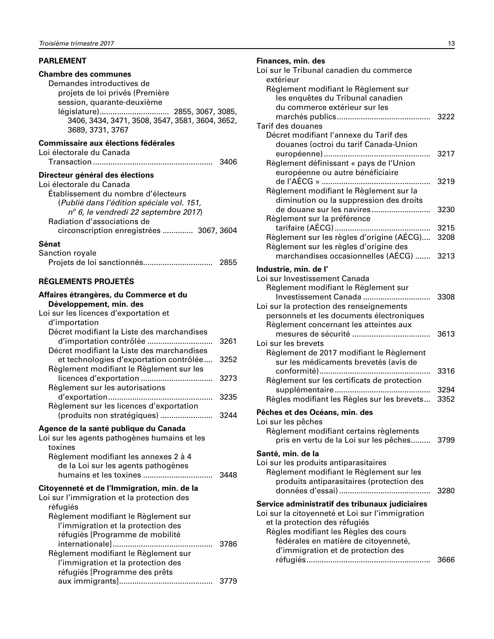### <span id="page-14-0"></span>**PARLEMENT**

#### **Chambre des communes**

Demandes introductives de projets de loi privés (Première session, quarante-deuxième législature)................................ 2855, 3067, 3085, 3406, 3434, 3471, 3508, 3547, 3581, 3604, 3652, 3689, 3731, 3767

### **Commissaire aux élections fédérales**

| Loi électorale du Canada |      |
|--------------------------|------|
|                          | 3406 |

#### **Directeur général des élections**

| Loi électorale du Canada                      |  |
|-----------------------------------------------|--|
| Établissement du nombre d'électeurs           |  |
| (Publié dans l'édition spéciale vol. 151,     |  |
| $n^{\circ}$ 6, le vendredi 22 septembre 2017) |  |
| Radiation d'associations de                   |  |
| circonscription enregistrées  3067, 3604      |  |
| Sénat                                         |  |
| Sanction royale                               |  |

|  | 2855 |
|--|------|

### **RÈGLEMENTS PROJETÉS**

| Affaires étrangères, du Commerce et du<br>Développement, min. des<br>Loi sur les licences d'exportation et<br>d'importation                                                                                                  |              |
|------------------------------------------------------------------------------------------------------------------------------------------------------------------------------------------------------------------------------|--------------|
| Décret modifiant la Liste des marchandises<br>d'importation contrôlée<br>Décret modifiant la Liste des marchandises                                                                                                          | 3261         |
| et technologies d'exportation contrôlée<br>Règlement modifiant le Règlement sur les                                                                                                                                          | 3252         |
| Règlement sur les autorisations                                                                                                                                                                                              | 3273<br>3235 |
| Règlement sur les licences d'exportation<br>(produits non stratégiques)                                                                                                                                                      | 3244         |
| Agence de la santé publique du Canada<br>Loi sur les agents pathogènes humains et les<br>toxines<br>Règlement modifiant les annexes 2 à 4<br>de la Loi sur les agents pathogènes                                             | 3448         |
| Citoyenneté et de l'Immigration, min. de la<br>Loi sur l'immigration et la protection des<br>réfugiés                                                                                                                        |              |
| Règlement modifiant le Règlement sur<br>l'immigration et la protection des<br>réfugiés [Programme de mobilité<br>Règlement modifiant le Règlement sur<br>l'immigration et la protection des<br>réfugiés [Programme des prêts | 3786         |

aux immigrants]........................................... 3779

| Finances, min. des<br>Loi sur le Tribunal canadien du commerce |
|----------------------------------------------------------------|
| extérieur                                                      |
| Règlement modifiant le Règlement sur                           |

| Règlement modifiant le Règlement sur                                              |      |
|-----------------------------------------------------------------------------------|------|
| les enquêtes du Tribunal canadien<br>du commerce extérieur sur les                |      |
|                                                                                   | 3222 |
| Tarif des douanes                                                                 |      |
| Décret modifiant l'annexe du Tarif des                                            |      |
| douanes (octroi du tarif Canada-Union                                             |      |
|                                                                                   | 3217 |
| Règlement définissant « pays de l'Union                                           |      |
| européenne ou autre bénéficiaire                                                  |      |
|                                                                                   | 3219 |
| Règlement modifiant le Règlement sur la                                           |      |
| diminution ou la suppression des droits                                           |      |
| de douane sur les navires                                                         | 3230 |
| Règlement sur la préférence                                                       |      |
|                                                                                   | 3215 |
| Règlement sur les règles d'origine (AÉCG)                                         | 3208 |
| Règlement sur les règles d'origine des                                            |      |
| marchandises occasionnelles (AÉCG)                                                | 3213 |
| Industrie, min. de l'                                                             |      |
| Loi sur Investissement Canada                                                     |      |
| Règlement modifiant le Règlement sur                                              |      |
| Investissement Canada                                                             | 3308 |
| Loi sur la protection des renseignements                                          |      |
| personnels et les documents électroniques                                         |      |
| Règlement concernant les atteintes aux                                            |      |
|                                                                                   | 3613 |
| Loi sur les brevets                                                               |      |
| Règlement de 2017 modifiant le Règlement<br>sur les médicaments brevetés (avis de |      |
|                                                                                   | 3316 |
| Règlement sur les certificats de protection                                       |      |
|                                                                                   | 3294 |
| Règles modifiant les Règles sur les brevets                                       | 3352 |
|                                                                                   |      |
| Pêches et des Océans, min. des                                                    |      |
| Loi sur les pêches                                                                |      |
| Règlement modifiant certains règlements<br>pris en vertu de la Loi sur les pêches | 3799 |
|                                                                                   |      |
| Santé, min. de la                                                                 |      |
| Loi sur les produits antiparasitaires                                             |      |
| Règlement modifiant le Règlement sur les                                          |      |
| produits antiparasitaires (protection des                                         |      |
|                                                                                   | 3280 |
| Service administratif des tribunaux judiciaires                                   |      |
| Loi sur la citoyenneté et Loi sur l'immigration                                   |      |
| et la protection des réfugiés                                                     |      |
| Règles modifiant les Règles des cours                                             |      |
| fédérales en matière de citoyenneté,                                              |      |
| d'immigration et de protection des                                                |      |
|                                                                                   | 3666 |